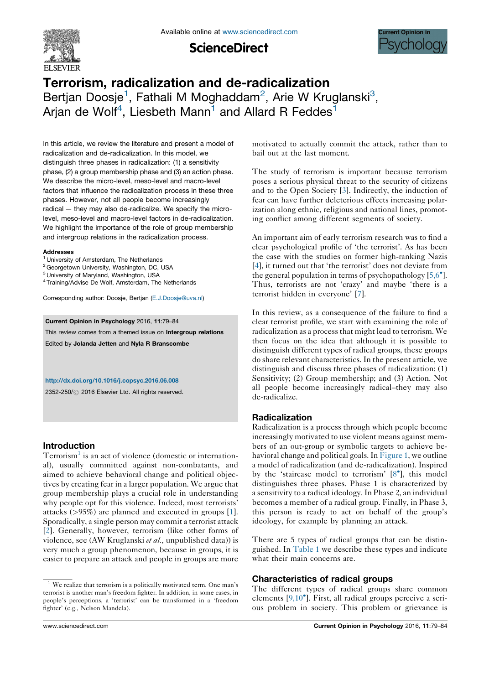

**ScienceDirect** 



# Terrorism, radicalization and de-radicalization Bertjan Doosje<sup>1</sup>, Fathali M Moghaddam<sup>2</sup>, Arie W Kruglanski<sup>3</sup>, Arjan de Wolf<sup>4</sup>, Liesbeth Mann<sup>1</sup> and Allard R Feddes<sup>1</sup>

In this article, we review the literature and present a model of radicalization and de-radicalization. In this model, we distinguish three phases in radicalization: (1) a sensitivity phase, (2) a group membership phase and (3) an action phase. We describe the micro-level, meso-level and macro-level factors that influence the radicalization process in these three phases. However, not all people become increasingly radical — they may also de-radicalize. We specify the microlevel, meso-level and macro-level factors in de-radicalization. We highlight the importance of the role of group membership and intergroup relations in the radicalization process.

#### Addresses

- <sup>1</sup> University of Amsterdam, The Netherlands
- <sup>2</sup> Georgetown University, Washington, DC, USA
- <sup>3</sup> University of Maryland, Washington, USA
- <sup>4</sup> Training/Advise De Wolf, Amsterdam, The Netherlands

Corresponding author: Doosje, Bertjan [\(E.J.Doosje@uva.nl](mailto:E.J.Doosje@uva.nl))

#### Current Opinion in Psychology 2016, 11:79–84

This review comes from a themed issue on Intergroup relations Edited by Jolanda Jetten and Nyla R Branscombe

#### <http://dx.doi.org/10.1016/j.copsyc.2016.06.008>

2352-250/ 2016 Elsevier Ltd. All rights reserved.

#### Introduction

Terrorism<sup>1</sup> is an act of violence (domestic or international), usually committed against non-combatants, and aimed to achieve behavioral change and political objectives by creating fear in a larger population. We argue that group membership plays a crucial role in understanding why people opt for this violence. Indeed, most terrorists' attacks (>95%) are planned and executed in groups [1]. Sporadically, a single person may commit a terrorist attack [2]. Generally, however, terrorism (like other forms of violence, see (AW Kruglanski et al., unpublished data)) is very much a group phenomenon, because in groups, it is easier to prepare an attack and people in groups are more motivated to actually commit the attack, rather than to bail out at the last moment.

The study of terrorism is important because terrorism poses a serious physical threat to the security of citizens and to the Open Society [3]. Indirectly, the induction of fear can have further deleterious effects increasing polarization along ethnic, religious and national lines, promoting conflict among different segments of society.

An important aim of early terrorism research was to find a clear psychological profile of 'the terrorist'. As has been the case with the studies on former high-ranking Nazis [4], it turned out that 'the terrorist' does not deviate from the general population in terms of psychopathology  $[5,6^{\circ}]$ . Thus, terrorists are not 'crazy' and maybe 'there is a terrorist hidden in everyone' [7].

In this review, as a consequence of the failure to find a clear terrorist profile, we start with examining the role of radicalization as a process that might lead to terrorism. We then focus on the idea that although it is possible to distinguish different types of radical groups, these groups do share relevant characteristics. In the present article, we distinguish and discuss three phases of radicalization: (1) Sensitivity; (2) Group membership; and (3) Action. Not all people become increasingly radical–they may also de-radicalize.

# Radicalization

Radicalization is a process through which people become increasingly motivated to use violent means against members of an out-group or symbolic targets to achieve behavioral change and political goals. In Figure 1, we outline a model of radicalization (and de-radicalization). Inspired by the 'staircase model to terrorism'  $[8^{\bullet}]$ , this model distinguishes three phases. Phase 1 is characterized by a sensitivity to a radical ideology. In Phase 2, an individual becomes a member of a radical group. Finally, in Phase 3, this person is ready to act on behalf of the group's ideology, for example by planning an attack.

There are 5 types of radical groups that can be distinguished. In Table 1 we describe these types and indicate what their main concerns are.

#### Characteristics of radical groups

The different types of radical groups share common elements  $[9,10^{\circ}]$ . First, all radical groups perceive a serious problem in society. This problem or grievance is

<sup>&</sup>lt;sup>1</sup> We realize that terrorism is a politically motivated term. One man's terrorist is another man's freedom fighter. In addition, in some cases, in people's perceptions, a 'terrorist' can be transformed in a 'freedom fighter' (e.g., Nelson Mandela).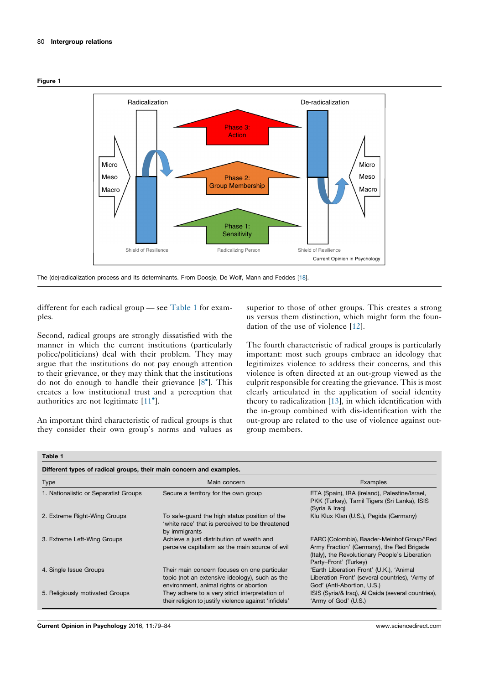



The (de)radicalization process and its determinants. From Doosje, De Wolf, Mann and Feddes [18].

different for each radical group — see Table 1 for examples.

Second, radical groups are strongly dissatisfied with the manner in which the current institutions (particularly police/politicians) deal with their problem. They may argue that the institutions do not pay enough attention to their grievance, or they may think that the institutions do not do enough to handle their grievance  $[8^{\bullet}]$ . This creates a low institutional trust and a perception that authorities are not legitimate  $[11^{\bullet}]$ .

An important third characteristic of radical groups is that they consider their own group's norms and values as

superior to those of other groups. This creates a strong us versus them distinction, which might form the foundation of the use of violence [12].

The fourth characteristic of radical groups is particularly important: most such groups embrace an ideology that legitimizes violence to address their concerns, and this violence is often directed at an out-group viewed as the culprit responsible for creating the grievance. Thisis most clearly articulated in the application of social identity theory to radicalization [13], in which identification with the in-group combined with dis-identification with the out-group are related to the use of violence against outgroup members.

| Table 1 |
|---------|
|---------|

| Type                                  | Main concern                                                                                                                             | Examples                                                                                                                                                           |
|---------------------------------------|------------------------------------------------------------------------------------------------------------------------------------------|--------------------------------------------------------------------------------------------------------------------------------------------------------------------|
| 1. Nationalistic or Separatist Groups | Secure a territory for the own group                                                                                                     | ETA (Spain), IRA (Ireland), Palestine/Israel,<br>PKK (Turkey), Tamil Tigers (Sri Lanka), ISIS<br>(Syria & Irag)                                                    |
| 2. Extreme Right-Wing Groups          | To safe-quard the high status position of the<br>'white race' that is perceived to be threatened<br>by immigrants                        | Klu Klux Klan (U.S.), Pegida (Germany)                                                                                                                             |
| 3. Extreme Left-Wing Groups           | Achieve a just distribution of wealth and<br>perceive capitalism as the main source of evil                                              | FARC (Colombia), Baader-Meinhof Group/'Red<br>Army Fraction' (Germany), the Red Brigade<br>(Italy), the Revolutionary People's Liberation<br>Party-Front' (Turkey) |
| 4. Single Issue Groups                | Their main concern focuses on one particular<br>topic (not an extensive ideology), such as the<br>environment, animal rights or abortion | 'Earth Liberation Front' (U.K.), 'Animal<br>Liberation Front' (several countries), 'Army of<br>God' (Anti-Abortion, U.S.)                                          |
| 5. Religiously motivated Groups       | They adhere to a very strict interpretation of<br>their religion to justify violence against 'infidels'                                  | ISIS (Syria/& Iraq), Al Qaida (several countries),<br>'Army of God' (U.S.)                                                                                         |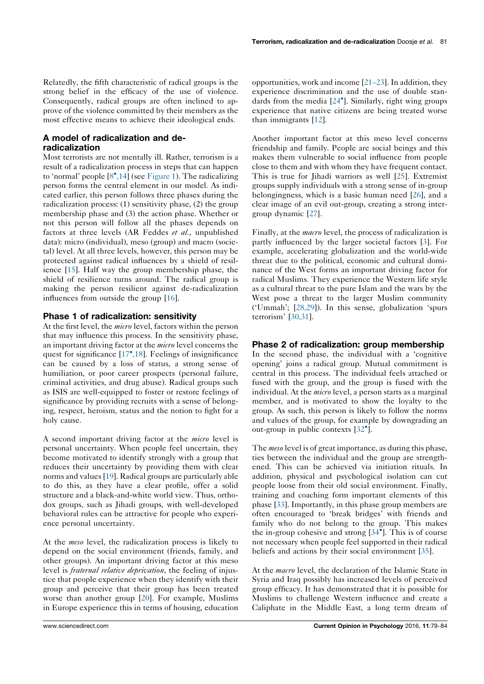Relatedly, the fifth characteristic of radical groups is the strong belief in the efficacy of the use of violence. Consequently, radical groups are often inclined to approve of the violence committed by their members as the most effective means to achieve their ideological ends.

### A model of radicalization and deradicalization

Most terrorists are not mentally ill. Rather, terrorism is a result of a radicalization process in steps that can happen to 'normal' people  $[8^{\bullet}, 14]$  (see Figure 1). The radicalizing person forms the central element in our model. As indicated earlier, this person follows three phases during the radicalization process: (1) sensitivity phase, (2) the group membership phase and (3) the action phase. Whether or not this person will follow all the phases depends on factors at three levels (AR Feddes et al., unpublished data): micro (individual), meso (group) and macro (societal) level. At all three levels, however, this person may be protected against radical influences by a shield of resilience [15]. Half way the group membership phase, the shield of resilience turns around. The radical group is making the person resilient against de-radicalization influences from outside the group [16].

### Phase 1 of radicalization: sensitivity

At the first level, the *micro* level, factors within the person that may influence this process. In the sensitivity phase, an important driving factor at the micro level concerns the quest for significance [17<sup>°</sup>,18]. Feelings of insignificance can be caused by a loss of status, a strong sense of humiliation, or poor career prospects (personal failure, criminal activities, and drug abuse). Radical groups such as ISIS are well-equipped to foster or restore feelings of significance by providing recruits with a sense of belonging, respect, heroism, status and the notion to fight for a holy cause.

A second important driving factor at the micro level is personal uncertainty. When people feel uncertain, they become motivated to identify strongly with a group that reduces their uncertainty by providing them with clear norms and values [19]. Radical groups are particularly able to do this, as they have a clear profile, offer a solid structure and a black-and-white world view. Thus, orthodox groups, such as Jihadi groups, with well-developed behavioral rules can be attractive for people who experience personal uncertainty.

At the meso level, the radicalization process is likely to depend on the social environment (friends, family, and other groups). An important driving factor at this meso level is *fraternal relative deprivation*, the feeling of injustice that people experience when they identify with their group and perceive that their group has been treated worse than another group [20]. For example, Muslims in Europe experience this in terms of housing, education opportunities, work and income [21–23]. In addition, they experience discrimination and the use of double standards from the media  $[24^{\circ}]$ . Similarly, right wing groups experience that native citizens are being treated worse than immigrants [12].

Another important factor at this meso level concerns friendship and family. People are social beings and this makes them vulnerable to social influence from people close to them and with whom they have frequent contact. This is true for Jihadi warriors as well [25]. Extremist groups supply individuals with a strong sense of in-group belongingness, which is a basic human need [26], and a clear image of an evil out-group, creating a strong intergroup dynamic [27].

Finally, at the macro level, the process of radicalization is partly influenced by the larger societal factors [3]. For example, accelerating globalization and the world-wide threat due to the political, economic and cultural dominance of the West forms an important driving factor for radical Muslims. They experience the Western life style as a cultural threat to the pure Islam and the wars by the West pose a threat to the larger Muslim community ('Ummah'; [28,29]). In this sense, globalization 'spurs terrorism' [30,31].

# Phase 2 of radicalization: group membership

In the second phase, the individual with a 'cognitive opening' joins a radical group. Mutual commitment is central in this process. The individual feels attached or fused with the group, and the group is fused with the individual. At the *micro* level, a person starts as a marginal member, and is motivated to show the loyalty to the group. As such, this person is likely to follow the norms and values of the group, for example by downgrading an out-group in public contexts [32<sup>°</sup>].

The meso level is of great importance, as during this phase, ties between the individual and the group are strengthened. This can be achieved via initiation rituals. In addition, physical and psychological isolation can cut people loose from their old social environment. Finally, training and coaching form important elements of this phase [33]. Importantly, in this phase group members are often encouraged to 'break bridges' with friends and family who do not belong to the group. This makes the in-group cohesive and strong  $[34^{\circ}]$ . This is of course not necessary when people feel supported in their radical beliefs and actions by their social environment [35].

At the *macro* level, the declaration of the Islamic State in Syria and Iraq possibly has increased levels of perceived group efficacy. It has demonstrated that it is possible for Muslims to challenge Western influence and create a Caliphate in the Middle East, a long term dream of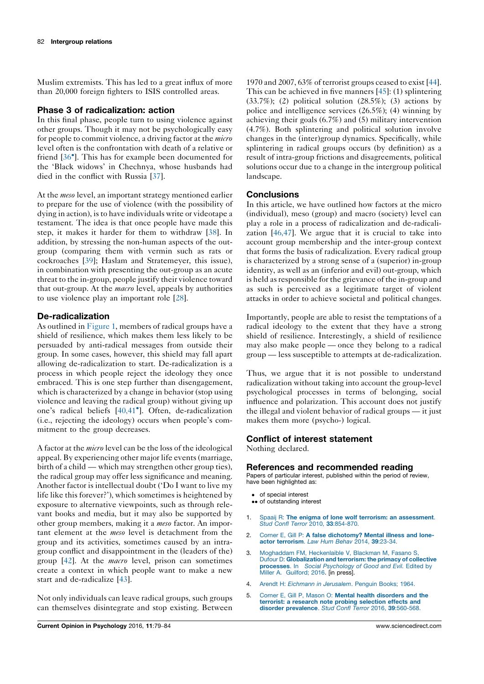Muslim extremists. This has led to a great influx of more than 20,000 foreign fighters to ISIS controlled areas.

## Phase 3 of radicalization: action

In this final phase, people turn to using violence against other groups. Though it may not be psychologically easy for people to commit violence, a driving factor at the *micro* level often is the confrontation with death of a relative or friend [36<sup>\*</sup>]. This has for example been documented for the 'Black widows' in Chechnya, whose husbands had died in the conflict with Russia [37].

At the *meso* level, an important strategy mentioned earlier to prepare for the use of violence (with the possibility of dying in action), is to have individuals write or videotape a testament. The idea is that once people have made this step, it makes it harder for them to withdraw [38]. In addition, by stressing the non-human aspects of the outgroup (comparing them with vermin such as rats or cockroaches [39]; Haslam and Stratemeyer, this issue), in combination with presenting the out-group as an acute threat to the in-group, people justify their violence toward that out-group. At the *macro* level, appeals by authorities to use violence play an important role [28].

## De-radicalization

As outlined in Figure 1, members of radical groups have a shield of resilience, which makes them less likely to be persuaded by anti-radical messages from outside their group. In some cases, however, this shield may fall apart allowing de-radicalization to start. De-radicalization is a process in which people reject the ideology they once embraced. This is one step further than disengagement, which is characterized by a change in behavior (stop using violence and leaving the radical group) without giving up one's radical beliefs [40,41<sup>°</sup>]. Often, de-radicalization (i.e., rejecting the ideology) occurs when people's commitment to the group decreases.

A factor at the micro level can be the loss of the ideological appeal. By experiencing other major life events (marriage, birth of a child — which may strengthen other group ties), the radical group may offer less significance and meaning. Another factor is intellectual doubt ('Do I want to live my life like this forever?'), which sometimes is heightened by exposure to alternative viewpoints, such as through relevant books and media, but it may also be supported by other group members, making it a meso factor. An important element at the meso level is detachment from the group and its activities, sometimes caused by an intragroup conflict and disappointment in the (leaders of the) group [42]. At the *macro* level, prison can sometimes create a context in which people want to make a new start and de-radicalize [43].

Not only individuals can leave radical groups, such groups can themselves disintegrate and stop existing. Between

1970 and 2007, 63% of terrorist groups ceased to exist [44]. This can be achieved in five manners [45]: (1) splintering (33.7%); (2) political solution (28.5%); (3) actions by police and intelligence services (26.5%); (4) winning by achieving their goals (6.7%) and (5) military intervention (4.7%). Both splintering and political solution involve changes in the (inter)group dynamics. Specifically, while splintering in radical groups occurs (by definition) as a result of intra-group frictions and disagreements, political solutions occur due to a change in the intergroup political landscape.

### **Conclusions**

In this article, we have outlined how factors at the micro (individual), meso (group) and macro (society) level can play a role in a process of radicalization and de-radicalization [46,47]. We argue that it is crucial to take into account group membership and the inter-group context that forms the basis of radicalization. Every radical group is characterized by a strong sense of a (superior) in-group identity, as well as an (inferior and evil) out-group, which is held as responsible for the grievance of the in-group and as such is perceived as a legitimate target of violent attacks in order to achieve societal and political changes.

Importantly, people are able to resist the temptations of a radical ideology to the extent that they have a strong shield of resilience. Interestingly, a shield of resilience may also make people — once they belong to a radical group — less susceptible to attempts at de-radicalization.

Thus, we argue that it is not possible to understand radicalization without taking into account the group-level psychological processes in terms of belonging, social influence and polarization. This account does not justify the illegal and violent behavior of radical groups — it just makes them more (psycho-) logical.

#### Conflict of interest statement

Nothing declared.

#### References and recommended reading

Papers of particular interest, published within the period of review, have been highlighted as:

- of special interest
- of outstanding interest
- 1. Spaaij R: The enigma of lone wolf terrorism: an [assessment](http://refhub.elsevier.com/S2352-250X(16)30081-1/sbref0240). Stud Confl Terror 2010, 33[:854-870.](http://refhub.elsevier.com/S2352-250X(16)30081-1/sbref0240)
- 2. Corner E, Gill P: A false [dichotomy?](http://refhub.elsevier.com/S2352-250X(16)30081-1/sbref0245) Mental illness and loneactor [terrorism](http://refhub.elsevier.com/S2352-250X(16)30081-1/sbref0245). Law Hum Behav 2014, 39:23-34.
- 3. Moghaddam FM, [Heckenlaible](http://refhub.elsevier.com/S2352-250X(16)30081-1/sbref0250) V, Blackman M, Fasano S, Dufour D: [Globalization](http://refhub.elsevier.com/S2352-250X(16)30081-1/sbref0250) and terrorism: the primacy of collective processes. In Social [Psychology](http://refhub.elsevier.com/S2352-250X(16)30081-1/sbref0250) of Good and Evil. Edited by Miller A. [Guilford;](http://refhub.elsevier.com/S2352-250X(16)30081-1/sbref0250) 2016. [in press].
- 4. Arendt H: Eichmann in [Jerusalem](http://refhub.elsevier.com/S2352-250X(16)30081-1/sbref0255). Penguin Books; 1964.
- 5. Corner E, Gill P, Mason O: Mental health [disorders](http://refhub.elsevier.com/S2352-250X(16)30081-1/sbref0260) and the terrorist: a research note probing [selection](http://refhub.elsevier.com/S2352-250X(16)30081-1/sbref0260) effects and disorder [prevalence](http://refhub.elsevier.com/S2352-250X(16)30081-1/sbref0260). Stud Confl Terror 2016, 39:560-568.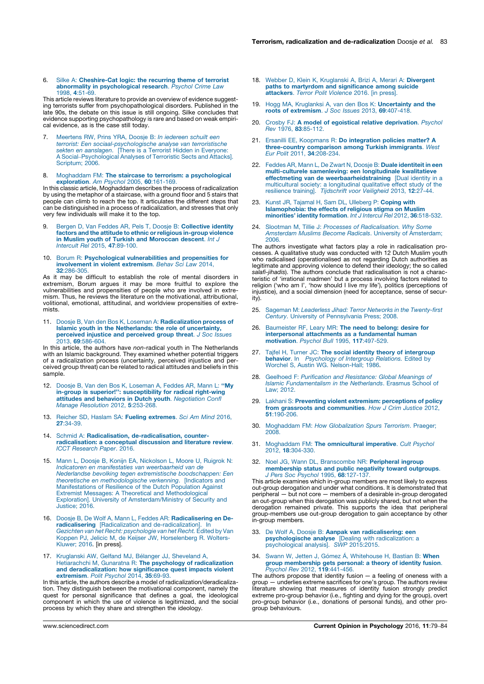#### 6. Silke A: [Cheshire-Cat](http://refhub.elsevier.com/S2352-250X(16)30081-1/sbref0265) logic: the recurring theme of terrorist abnormality in [psychological](http://refhub.elsevier.com/S2352-250X(16)30081-1/sbref0265) research. Psychol Crime Law 1998, 4[:51-69.](http://refhub.elsevier.com/S2352-250X(16)30081-1/sbref0265)

This article reviews literature to provide an overview of evidence suggesting terrorists suffer from psychopathological disorders. Published in the late 90s, the debate on this issue is still ongoing. Silke concludes that evidence supporting psychopathology is rare and based on weak empiri-cal evidence, as is the case still today.

- 7. [Meertens](http://refhub.elsevier.com/S2352-250X(16)30081-1/sbref0270) RW, Prins YRA, Doosje B: In iedereen schuilt een terrorist: Een [sociaal-psychologische](http://refhub.elsevier.com/S2352-250X(16)30081-1/sbref0270) analyse van terroristische sekten en [aanslagen](http://refhub.elsevier.com/S2352-250X(16)30081-1/sbref0270). [There is a Terrorist Hidden in Everyone: A Social–[Psychological](http://refhub.elsevier.com/S2352-250X(16)30081-1/sbref0270) Analyses of Terroristic Sects and Attacks]. [Scriptum;](http://refhub.elsevier.com/S2352-250X(16)30081-1/sbref0270) 2006.
- 8. Moghaddam FM: The staircase to terrorism: a [psychological](http://refhub.elsevier.com/S2352-250X(16)30081-1/sbref0275) [exploration](http://refhub.elsevier.com/S2352-250X(16)30081-1/sbref0275). Am Psychol 2005, 60:161-169.

In this classic article, Moghaddam describes the process of radicalization by using the metaphor of a staircase, with a ground floor and 5 stairs that people can climb to reach the top. It articulates the different steps that can be distinguished in a process of radicalization, and stresses that only very few individuals will make it to the top.

- 9. Bergen D, Van Feddes AR, Pels T, Doosie B: [Collective](http://refhub.elsevier.com/S2352-250X(16)30081-1/sbref0280) identity factors and the attitude to ethnic or religious in-group violence in Muslim youth of Turkish and [Moroccan](http://refhub.elsevier.com/S2352-250X(16)30081-1/sbref0280) descent. Int J Intercult Rel 2015, 47[:89-100.](http://refhub.elsevier.com/S2352-250X(16)30081-1/sbref0280)
- 10. Borum R: [Psychological](http://refhub.elsevier.com/S2352-250X(16)30081-1/sbref0285) vulnerabilities and propensities for [involvement](http://refhub.elsevier.com/S2352-250X(16)30081-1/sbref0285) in violent extremism. Behav Sci Law 2014, 32[:286-305.](http://refhub.elsevier.com/S2352-250X(16)30081-1/sbref0285)

As it may be difficult to establish the role of mental disorders in extremism, Borum argues it may be more fruitful to explore the vulnerabilities and propensities of people who are involved in extremism. Thus, he reviews the literature on the motivational, attributional, volitional, emotional, attitudinal, and worldview propensities of extremists.

11. Doosje B, Van den Bos K, Loseman A: [Radicalization](http://refhub.elsevier.com/S2352-250X(16)30081-1/sbref0290) process of Islamic youth in the [Netherlands:](http://refhub.elsevier.com/S2352-250X(16)30081-1/sbref0290) the role of uncertainty, [perceived](http://refhub.elsevier.com/S2352-250X(16)30081-1/sbref0290) injustice and perceived group threat. J Soc Issues 2013, 69[:586-604.](http://refhub.elsevier.com/S2352-250X(16)30081-1/sbref0290)

In this article, the authors have non-radical youth in The Netherlands with an Islamic background. They examined whether potential triggers of a radicalization process (uncertainty, perceived injustice and per-ceived group threat) can be related to radical attitudes and beliefs in this sample.

- 12. Doosje B, Van den Bos K, [Loseman](http://refhub.elsevier.com/S2352-250X(16)30081-1/sbref0295) A, Feddes AR, Mann L: "My in-group is superior!'': [susceptibility](http://refhub.elsevier.com/S2352-250X(16)30081-1/sbref0295) for radical right-wing attitudes and behaviors in Dutch youth. [Negotiation](http://refhub.elsevier.com/S2352-250X(16)30081-1/sbref0295) Confl Manage [Resolution](http://refhub.elsevier.com/S2352-250X(16)30081-1/sbref0295) 2012, 5:253-268.
- 13. Reicher SD, Haslam SA: Fueling [extremes](http://refhub.elsevier.com/S2352-250X(16)30081-1/sbref0300). Sci Am Mind 2016, 27[:34-39.](http://refhub.elsevier.com/S2352-250X(16)30081-1/sbref0300)
- 14. Schmid A: Radicalisation, [de-radicalisation,](http://refhub.elsevier.com/S2352-250X(16)30081-1/sbref0305) counter[radicalisation:](http://refhub.elsevier.com/S2352-250X(16)30081-1/sbref0305) a conceptual discussion and literature review. ICCT [Research](http://refhub.elsevier.com/S2352-250X(16)30081-1/sbref0305) Paper. 2016.
- 15. Mann L, Doosje B, Konijn EA, [Nickolson](http://refhub.elsevier.com/S2352-250X(16)30081-1/sbref0310) L, Moore U, Ruigrok N: Indicatoren en manifestaties van [weerbaarheid](http://refhub.elsevier.com/S2352-250X(16)30081-1/sbref0310) van de Nederlandse bevolking tegen extremistische [boodschappen:](http://refhub.elsevier.com/S2352-250X(16)30081-1/sbref0310) Een theoretische en [methodologische](http://refhub.elsevier.com/S2352-250X(16)30081-1/sbref0310) verkenning. [Indicators and [Manifestations](http://refhub.elsevier.com/S2352-250X(16)30081-1/sbref0310) of Resilience of the Dutch Population Against Extremist Messages: A Theoretical and [Methodological](http://refhub.elsevier.com/S2352-250X(16)30081-1/sbref0310) Exploration]. University of [Amsterdam/Ministry](http://refhub.elsevier.com/S2352-250X(16)30081-1/sbref0310) of Security and [Justice;](http://refhub.elsevier.com/S2352-250X(16)30081-1/sbref0310) 2016.
- 16. Doosje B, De Wolf A, Mann L, Feddes AR: **[Radicalisering](http://refhub.elsevier.com/S2352-250X(16)30081-1/sbref0315) en De-<br>radicalisering** [Radicalization and [de-radicalization\].](http://refhub.elsevier.com/S2352-250X(16)30081-1/sbref0315) In<br>Gezichten van het Recht: [psychologie](http://refhub.elsevier.com/S2352-250X(16)30081-1/sbref0315) van het Recht. Edited by Van Koppen PJ, Jelicic M, de Keijser JW, [Horselenberg](http://refhub.elsevier.com/S2352-250X(16)30081-1/sbref0315) R. Wolters-[Kluwer;](http://refhub.elsevier.com/S2352-250X(16)30081-1/sbref0315) 2016. [in press].
- 17. Kruglanski AW, Gelfand MJ, Bélanger JJ, [Sheveland](http://refhub.elsevier.com/S2352-250X(16)30081-1/sbref0320) A, Hetiarachchi M, Gunaratna R: The psychology of [radicalization](http://refhub.elsevier.com/S2352-250X(16)30081-1/sbref0320) and [deradicalization:](http://refhub.elsevier.com/S2352-250X(16)30081-1/sbref0320) how significance quest impacts violent [extremism](http://refhub.elsevier.com/S2352-250X(16)30081-1/sbref0320). Polit Psychol 2014, 35:69-93.

In this article, the authors describe a model of radicalization/deradicaliza-tion. They distinguish between the motivational component, namely the quest for personal significance that defines a goal, the ideological component in which the use of violence is legitimized, and the social process by which they share and strengthen the ideology.

- 18. Webber D, Klein K, [Kruglanski](http://refhub.elsevier.com/S2352-250X(16)30081-1/sbref0325) A, Brizi A, Merari A: Divergent paths to martyrdom and [significance](http://refhub.elsevier.com/S2352-250X(16)30081-1/sbref0325) among suicide [attackers](http://refhub.elsevier.com/S2352-250X(16)30081-1/sbref0325). Terror Polit Violence 2016. [in press]
- 19. Hogg MA, Kruglanksi A, van den Bos K: [Uncertainty](http://refhub.elsevier.com/S2352-250X(16)30081-1/sbref0330) and the roots of [extremism](http://refhub.elsevier.com/S2352-250X(16)30081-1/sbref0330). J Soc Issues 2013, 69:407-418.
- 20. Crosby FJ: A model of egoistical relative [deprivation](http://refhub.elsevier.com/S2352-250X(16)30081-1/sbref0335). Psychol Rev 1976, 83[:85-112.](http://refhub.elsevier.com/S2352-250X(16)30081-1/sbref0335)
- 21. Ersanilli EE, Koopmans R: Do [integration](http://refhub.elsevier.com/S2352-250X(16)30081-1/sbref0340) policies matter? A [three-country](http://refhub.elsevier.com/S2352-250X(16)30081-1/sbref0340) comparison among Turkish immigrants. West<br>Eur Polit 2011, 34[:208-234.](http://refhub.elsevier.com/S2352-250X(16)30081-1/sbref0340)
- 22. Feddes AR, Mann L, De Zwart N, Doosje B: Duale [identiteit](http://refhub.elsevier.com/S2352-250X(16)30081-1/sbref0345) in een [multi-culturele](http://refhub.elsevier.com/S2352-250X(16)30081-1/sbref0345) samenleving: een longitudinale kwalitatieve effectmeting van de [weerbaarheidstraining](http://refhub.elsevier.com/S2352-250X(16)30081-1/sbref0345) [Dual identity in a [multicultural](http://refhub.elsevier.com/S2352-250X(16)30081-1/sbref0345) society: a longitudinal qualitative effect study of the resilience training]. [Tijdschrift](http://refhub.elsevier.com/S2352-250X(16)30081-1/sbref0345) voor Veiligheid 2013, 12:27-44.
- 23. Kunst JR, Tajamal H, Sam DL, [Ulleberg](http://refhub.elsevier.com/S2352-250X(16)30081-1/sbref0350) P: Coping with [Islamophobia:](http://refhub.elsevier.com/S2352-250X(16)30081-1/sbref0350) the effects of religious stigma on Muslim [minorities'](http://refhub.elsevier.com/S2352-250X(16)30081-1/sbref0350) identity formation. Int J Intercul Rel 2012, 36:518-532.
- 24. Slootman M, Tillie J: Processes of [Radicalisation.](http://refhub.elsevier.com/S2352-250X(16)30081-1/sbref0355) Why Some Amsterdam Muslims Become Radicals. University of [Amsterdam;](http://refhub.elsevier.com/S2352-250X(16)30081-1/sbref0355) [2006.](http://refhub.elsevier.com/S2352-250X(16)30081-1/sbref0355)

The authors investigate what factors play a role in radicalisation processes. A qualitative study was conducted with 12 Dutch Muslim youth who radicalised (operationalised as not regarding Dutch authorities as legitimate and approving violence to defend their ideology; the so called salafi-jihadis). The authors conclude that radicalisation is not a characteristic of 'irrational madmen' but a process involving factors related to religion ('who am I', 'how should I live my life'), politics (perceptions of injustice), and a social dimension (need for acceptance, sense of security).

- 25. Sageman M: Leaderless Jihad: Terror Networks in the [Twenty-first](http://refhub.elsevier.com/S2352-250X(16)30081-1/sbref0360) Century. University of [Pennsylvania](http://refhub.elsevier.com/S2352-250X(16)30081-1/sbref0360) Press; 2008.
- 26. [Baumeister](http://refhub.elsevier.com/S2352-250X(16)30081-1/sbref0365) RF, Leary MR: The need to belong: desire for [interpersonal](http://refhub.elsevier.com/S2352-250X(16)30081-1/sbref0365) attachments as a fundamental human [motivation](http://refhub.elsevier.com/S2352-250X(16)30081-1/sbref0365). Psychol Bull 1995, 117:497-529.
- 27. Tajfel H, Turner JC: The social identity theory of [intergroup](http://refhub.elsevier.com/S2352-250X(16)30081-1/sbref0370) behavior. In [Psychology](http://refhub.elsevier.com/S2352-250X(16)30081-1/sbref0370) of Intergroup Relations. Edited by<br>Worchel S, Austin WG. [Nelson-Hall;](http://refhub.elsevier.com/S2352-250X(16)30081-1/sbref0370) 1986.
- 28. Geelhoed F: Purification and [Resistance:](http://refhub.elsevier.com/S2352-250X(16)30081-1/sbref0375) Global Meanings of Islamic [Fundamentalism](http://refhub.elsevier.com/S2352-250X(16)30081-1/sbref0375) in the Netherlands. Erasmus School of Law; [2012.](http://refhub.elsevier.com/S2352-250X(16)30081-1/sbref0375)
- 29. Lakhani S: Preventing violent extremism: [perceptions](http://refhub.elsevier.com/S2352-250X(16)30081-1/sbref0380) of policy from grassroots and [communities](http://refhub.elsevier.com/S2352-250X(16)30081-1/sbref0380). How J Crim Justice 2012, 51[:190-206.](http://refhub.elsevier.com/S2352-250X(16)30081-1/sbref0380)
- 30. Moghaddam FM: How [Globalization](http://refhub.elsevier.com/S2352-250X(16)30081-1/sbref0385) Spurs Terrorism. Praeger; [2008.](http://refhub.elsevier.com/S2352-250X(16)30081-1/sbref0385)
- 31. Moghaddam FM: The [omnicultural](http://refhub.elsevier.com/S2352-250X(16)30081-1/sbref0390) imperative. Cult Psychol 2012, 18[:304-330.](http://refhub.elsevier.com/S2352-250X(16)30081-1/sbref0390)
- 32. Noel JG, Wann DL, [Branscombe](http://refhub.elsevier.com/S2352-250X(16)30081-1/sbref0395) NR: Peripheral ingroup [membership](http://refhub.elsevier.com/S2352-250X(16)30081-1/sbref0395) status and public negativity toward outgroups.<br>J Pers Soc Psychol 1995, 68[:127-137.](http://refhub.elsevier.com/S2352-250X(16)30081-1/sbref0395)

This article examines which in-group members are most likely to express out-group derogation and under what conditions. It is demonstrated that peripheral — but not core — members of a desirable in-group derogated an out-group when this derogation was publicly shared, but not when the derogation remained private. This supports the idea that peripheral group-members use out-group derogation to gain acceptance by other in-group members.

- 33. De Wolf A, Doosje B: Aanpak van [radicalisering:](http://refhub.elsevier.com/S2352-250X(16)30081-1/sbref0400) een<br>[psychologische](http://refhub.elsevier.com/S2352-250X(16)30081-1/sbref0400) analyse [Dealing with radicalization: a [psychological](http://refhub.elsevier.com/S2352-250X(16)30081-1/sbref0400) analysis]. SWP 2015:2015.
- 34. Swann W, Jetten J, Gómez Á, [Whitehouse](http://refhub.elsevier.com/S2352-250X(16)30081-1/sbref0405) H, Bastian B: When group [membership](http://refhub.elsevier.com/S2352-250X(16)30081-1/sbref0405) gets personal: a theory of identity fusion. Psychol Rev 2012, 119[:441-456.](http://refhub.elsevier.com/S2352-250X(16)30081-1/sbref0405)

The authors propose that identity fusion  $-$  a feeling of oneness with a group — underlies extreme sacrifices for one's group. The authors review literature showing that measures of identity fusion strongly predict extreme pro-group behavior (i.e., fighting and dying for the group), overt pro-group behavior (i.e., donations of personal funds), and other progroup behaviours.